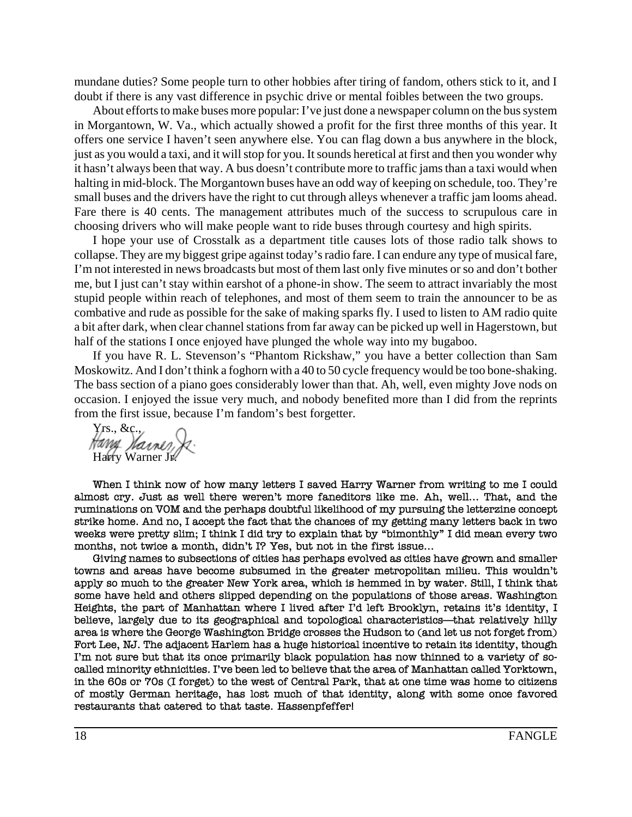mundane duties? Some people turn to other hobbies after tiring of fandom, others stick to it, and I doubt if there is any vast difference in psychic drive or mental foibles between the two groups.

About efforts to make buses more popular: I've just done a newspaper column on the bus system in Morgantown, W. Va., which actually showed a profit for the first three months of this year. It offers one service I haven't seen anywhere else. You can flag down a bus anywhere in the block, just as you would a taxi, and it will stop for you. It sounds heretical at first and then you wonder why it hasn't always been that way. A bus doesn't contribute more to traffic jams than a taxi would when halting in mid-block. The Morgantown buses have an odd way of keeping on schedule, too. They're small buses and the drivers have the right to cut through alleys whenever a traffic jam looms ahead. Fare there is 40 cents. The management attributes much of the success to scrupulous care in choosing drivers who will make people want to ride buses through courtesy and high spirits.

I hope your use of Crosstalk as a department title causes lots of those radio talk shows to collapse. They are my biggest gripe against today's radio fare. I can endure any type of musical fare, I'm not interested in news broadcasts but most of them last only five minutes or so and don't bother me, but I just can't stay within earshot of a phone-in show. The seem to attract invariably the most stupid people within reach of telephones, and most of them seem to train the announcer to be as combative and rude as possible for the sake of making sparks fly. I used to listen to AM radio quite a bit after dark, when clear channel stations from far away can be picked up well in Hagerstown, but half of the stations I once enjoyed have plunged the whole way into my bugaboo.

If you have R. L. Stevenson's "Phantom Rickshaw," you have a better collection than Sam Moskowitz. And I don't think a foghorn with a 40 to 50 cycle frequency would be too bone-shaking. The bass section of a piano goes considerably lower than that. Ah, well, even mighty Jove nods on occasion. I enjoyed the issue very much, and nobody benefited more than I did from the reprints from the first issue, because I'm fandom's best forgetter.

Yrs., &c.,<br>Hang *Varner*, Harry Warner Jr.

When I think now of how many letters I saved Harry Warner from writing to me I could almost cry. Just as well there weren't more faneditors like me. Ah, well... That, and the ruminations on VOM and the perhaps doubtful likelihood of my pursuing the letterzine concept strike home. And no, I accept the fact that the chances of my getting many letters back in two weeks were pretty slim; I think I did try to explain that by "bimonthly" I did mean every two months, not twice a month, didn't I? Yes, but not in the first issue...

Giving names to subsections of cities has perhaps evolved as cities have grown and smaller towns and areas have become subsumed in the greater metropolitan milieu. This wouldn't apply so much to the greater New York area, which is hemmed in by water. Still, I think that some have held and others slipped depending on the populations of those areas. Washington Heights, the part of Manhattan where I lived after I'd left Brooklyn, retains it's identity, I believe, largely due to its geographical and topological characteristics—that relatively hilly area is where the George Washington Bridge crosses the Hudson to (and let us not forget from) Fort Lee, NJ. The adjacent Harlem has a huge historical incentive to retain its identity, though I'm not sure but that its once primarily black population has now thinned to a variety of socalled minority ethnicities. I've been led to believe that the area of Manhattan called Yorktown, in the 60s or 70s (I forget) to the west of Central Park, that at one time was home to citizens of mostly German heritage, has lost much of that identity, along with some once favored restaurants that catered to that taste. Hassenpfeffer!